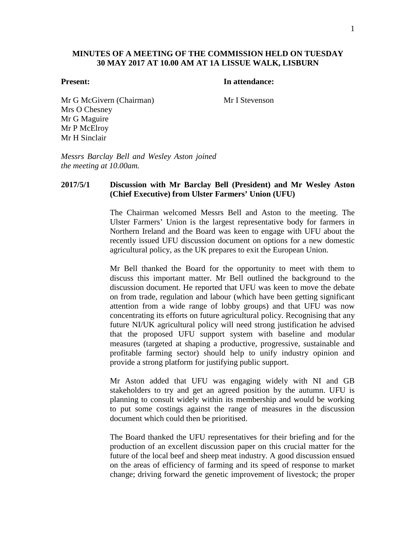## **MINUTES OF A MEETING OF THE COMMISSION HELD ON TUESDAY 30 MAY 2017 AT 10.00 AM AT 1A LISSUE WALK, LISBURN**

#### **Present: In attendance:**

Mr G McGivern (Chairman) Mr I Stevenson Mrs O Chesney Mr G Maguire Mr P McElroy Mr H Sinclair

*Messrs Barclay Bell and Wesley Aston joined the meeting at 10.00am.*

# **2017/5/1 Discussion with Mr Barclay Bell (President) and Mr Wesley Aston (Chief Executive) from Ulster Farmers' Union (UFU)**

The Chairman welcomed Messrs Bell and Aston to the meeting. The Ulster Farmers' Union is the largest representative body for farmers in Northern Ireland and the Board was keen to engage with UFU about the recently issued UFU discussion document on options for a new domestic agricultural policy, as the UK prepares to exit the European Union.

Mr Bell thanked the Board for the opportunity to meet with them to discuss this important matter. Mr Bell outlined the background to the discussion document. He reported that UFU was keen to move the debate on from trade, regulation and labour (which have been getting significant attention from a wide range of lobby groups) and that UFU was now concentrating its efforts on future agricultural policy. Recognising that any future NI/UK agricultural policy will need strong justification he advised that the proposed UFU support system with baseline and modular measures (targeted at shaping a productive, progressive, sustainable and profitable farming sector) should help to unify industry opinion and provide a strong platform for justifying public support.

Mr Aston added that UFU was engaging widely with NI and GB stakeholders to try and get an agreed position by the autumn. UFU is planning to consult widely within its membership and would be working to put some costings against the range of measures in the discussion document which could then be prioritised.

The Board thanked the UFU representatives for their briefing and for the production of an excellent discussion paper on this crucial matter for the future of the local beef and sheep meat industry. A good discussion ensued on the areas of efficiency of farming and its speed of response to market change; driving forward the genetic improvement of livestock; the proper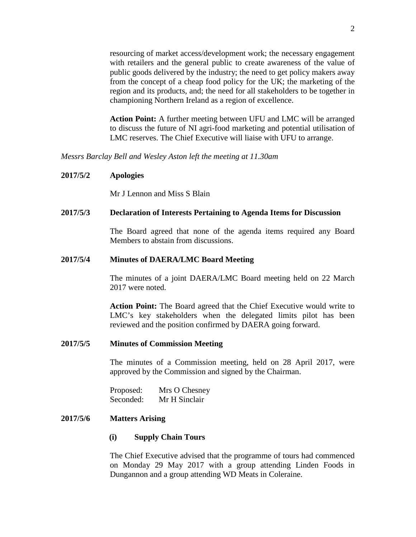resourcing of market access/development work; the necessary engagement with retailers and the general public to create awareness of the value of public goods delivered by the industry; the need to get policy makers away from the concept of a cheap food policy for the UK; the marketing of the region and its products, and; the need for all stakeholders to be together in championing Northern Ireland as a region of excellence.

**Action Point:** A further meeting between UFU and LMC will be arranged to discuss the future of NI agri-food marketing and potential utilisation of LMC reserves. The Chief Executive will liaise with UFU to arrange.

*Messrs Barclay Bell and Wesley Aston left the meeting at 11.30am*

#### **2017/5/2 Apologies**

Mr J Lennon and Miss S Blain

#### **2017/5/3 Declaration of Interests Pertaining to Agenda Items for Discussion**

The Board agreed that none of the agenda items required any Board Members to abstain from discussions.

#### **2017/5/4 Minutes of DAERA/LMC Board Meeting**

The minutes of a joint DAERA/LMC Board meeting held on 22 March 2017 were noted.

**Action Point:** The Board agreed that the Chief Executive would write to LMC's key stakeholders when the delegated limits pilot has been reviewed and the position confirmed by DAERA going forward.

#### **2017/5/5 Minutes of Commission Meeting**

The minutes of a Commission meeting, held on 28 April 2017, were approved by the Commission and signed by the Chairman.

Proposed: Mrs O Chesney Seconded: Mr H Sinclair

# **2017/5/6 Matters Arising**

#### **(i) Supply Chain Tours**

The Chief Executive advised that the programme of tours had commenced on Monday 29 May 2017 with a group attending Linden Foods in Dungannon and a group attending WD Meats in Coleraine.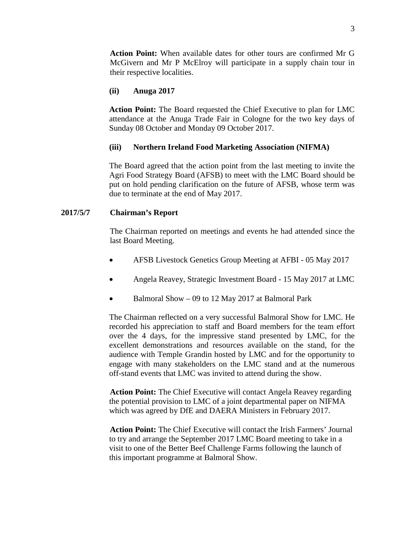**Action Point:** When available dates for other tours are confirmed Mr G McGivern and Mr P McElroy will participate in a supply chain tour in their respective localities.

# **(ii) Anuga 2017**

**Action Point:** The Board requested the Chief Executive to plan for LMC attendance at the Anuga Trade Fair in Cologne for the two key days of Sunday 08 October and Monday 09 October 2017.

## **(iii) Northern Ireland Food Marketing Association (NIFMA)**

The Board agreed that the action point from the last meeting to invite the Agri Food Strategy Board (AFSB) to meet with the LMC Board should be put on hold pending clarification on the future of AFSB, whose term was due to terminate at the end of May 2017.

## **2017/5/7 Chairman's Report**

The Chairman reported on meetings and events he had attended since the last Board Meeting.

- AFSB Livestock Genetics Group Meeting at AFBI 05 May 2017
- Angela Reavey, Strategic Investment Board 15 May 2017 at LMC
- Balmoral Show 09 to 12 May 2017 at Balmoral Park

The Chairman reflected on a very successful Balmoral Show for LMC. He recorded his appreciation to staff and Board members for the team effort over the 4 days, for the impressive stand presented by LMC, for the excellent demonstrations and resources available on the stand, for the audience with Temple Grandin hosted by LMC and for the opportunity to engage with many stakeholders on the LMC stand and at the numerous off-stand events that LMC was invited to attend during the show.

**Action Point:** The Chief Executive will contact Angela Reavey regarding the potential provision to LMC of a joint departmental paper on NIFMA which was agreed by DfE and DAERA Ministers in February 2017.

**Action Point:** The Chief Executive will contact the Irish Farmers' Journal to try and arrange the September 2017 LMC Board meeting to take in a visit to one of the Better Beef Challenge Farms following the launch of this important programme at Balmoral Show.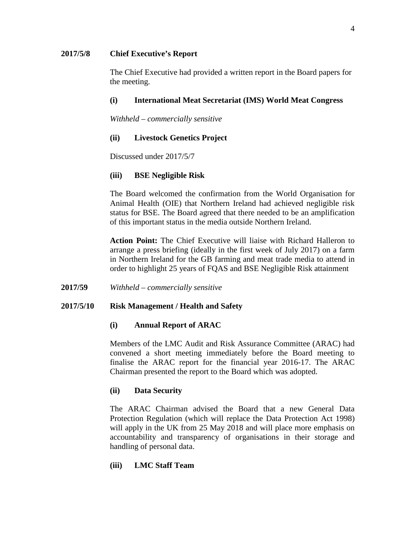## **2017/5/8 Chief Executive's Report**

The Chief Executive had provided a written report in the Board papers for the meeting.

# **(i) International Meat Secretariat (IMS) World Meat Congress**

*Withheld – commercially sensitive*

# **(ii) Livestock Genetics Project**

Discussed under 2017/5/7

# **(iii) BSE Negligible Risk**

The Board welcomed the confirmation from the World Organisation for Animal Health (OIE) that Northern Ireland had achieved negligible risk status for BSE. The Board agreed that there needed to be an amplification of this important status in the media outside Northern Ireland.

**Action Point:** The Chief Executive will liaise with Richard Halleron to arrange a press briefing (ideally in the first week of July 2017) on a farm in Northern Ireland for the GB farming and meat trade media to attend in order to highlight 25 years of FQAS and BSE Negligible Risk attainment

**2017/59** *Withheld – commercially sensitive*

# **2017/5/10 Risk Management / Health and Safety**

# **(i) Annual Report of ARAC**

Members of the LMC Audit and Risk Assurance Committee (ARAC) had convened a short meeting immediately before the Board meeting to finalise the ARAC report for the financial year 2016-17. The ARAC Chairman presented the report to the Board which was adopted.

# **(ii) Data Security**

The ARAC Chairman advised the Board that a new General Data Protection Regulation (which will replace the Data Protection Act 1998) will apply in the UK from 25 May 2018 and will place more emphasis on accountability and transparency of organisations in their storage and handling of personal data.

# **(iii) LMC Staff Team**